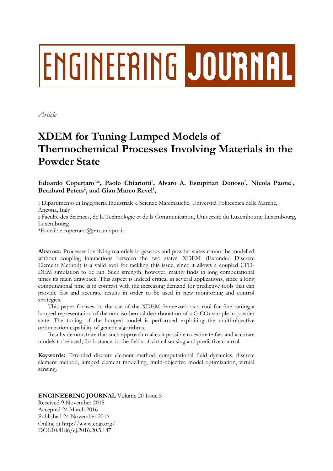# **ENGINEERING JOURNAL**

*Article*

# **XDEM for Tuning Lumped Models of Thermochemical Processes Involving Materials in the Powder State**

Edoardo Copertaro<sup>1,\*</sup>, Paolo Chiariotti<sup>1</sup>, Alvaro A. Estupinan Donoso<sup>2</sup>, Nicola Paone<sup>1</sup>, Bernhard Peters<sup>2</sup>, and Gian Marco Revel<sup>1</sup>,

1 Dipartimento di Ingegneria Industriale e Scienze Matematiche, Università Politecnica delle Marche, Ancona, Italy

2 Faculté des Sciences, de la Technologie et de la Communication, Université du Luxembourg, Luxembourg, Luxembourg

\*E-mail: e.copertaro@pm.univpm.it

**Abstract.** Processes involving materials in gaseous and powder states cannot be modelled without coupling interactions between the two states. XDEM (Extended Discrete Element Method) is a valid tool for tackling this issue, since it allows a coupled CFD-DEM simulation to be run. Such strength, however, mainly finds in long computational times its main drawback. This aspect is indeed critical in several applications, since a long computational time is in contrast with the increasing demand for predictive tools that can provide fast and accurate results in order to be used in new monitoring and control strategies.

This paper focuses on the use of the XDEM framework as a tool for fine tuning a lumped representation of the non-isothermal decarbonation of a  $CaCO<sub>3</sub>$  sample in powder state. The tuning of the lumped model is performed exploiting the multi-objective optimization capability of genetic algorithms.

Results demonstrate that such approach makes it possible to estimate fast and accurate models to be used, for instance, in the fields of virtual sensing and predictive control.

**Keywords:** Extended discrete element method, computational fluid dynamics, discrete element method, lumped element modelling, multi-objective model optimization, virtual sensing.

# **ENGINEERING JOURNAL** Volume 20 Issue 5 Received 9 November 2015 Accepted 24 March 2016 Published 24 November 2016 Online at http://www.engj.org/ DOI:10.4186/ej.2016.20.5.187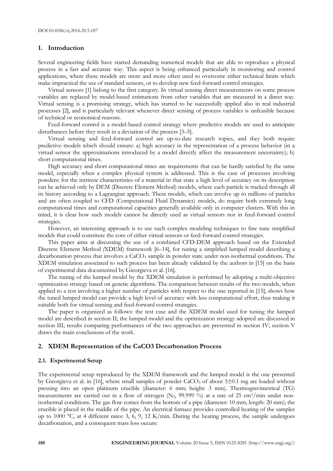#### **1. Introduction**

Several engineering fields have started demanding numerical models that are able to reproduce a physical process in a fast and accurate way. This aspect is being enhanced particularly in monitoring and control applications, where these models are more and more often used to overcome either technical limits which make impractical the use of standard sensors, or to develop new feed-forward control strategies.

Virtual sensors [1] belong to the first category. In virtual sensing direct measurements on some process variables are replaced by model-based estimations from other variables that are measured in a direct way. Virtual sensing is a promising strategy, which has started to be successfully applied also in real industrial processes [2], and is particularly relevant whenever direct sensing of process variables is unfeasible because of technical or economical reasons.

Feed-forward control is a model-based control strategy where predictive models are used to anticipate disturbances before they result in a deviation of the process [3–5].

Virtual sensing and feed-forward control are up-to-date research topics, and they both require predictive models which should ensure: a) high accuracy in the representation of a process behavior (in a virtual sensor the approximations introduced by a model directly affect the measurement uncertainty); b) short computational times.

High accuracy and short computational times are requirements that can be hardly satisfied by the same model, especially when a complex physical system is addressed. This is the case of processes involving powders: for the intrinsic characteristics of a material in that state a high level of accuracy on its description can be achieved only by DEM (Discrete Element Method) models, where each particle is tracked through all its history according to a Lagrangian approach. These models, which can involve up to millions of particles and are often coupled to CFD (Computational Fluid Dynamics) models, do require both extremely long computational times and computational capacities generally available only in computer clusters. With this in mind, it is clear how such models cannot be directly used as virtual sensors nor in feed-forward control strategies.

However, an interesting approach is to use such complex modeling techniques to fine tune simplified models that could constitute the core of either virtual sensors or feed-forward control strategies.

This paper aims at discussing the use of a combined CFD-DEM approach based on the Extended Discrete Element Method *(*XDEM) framework [6–14], for tuning a simplified lumped model describing a decarbonation process that involves a CaCO<sub>3</sub> sample in powder state under non-isothermal conditions. The XDEM simulation associated to such process has been already validated by the authors in [15] on the basis of experimental data documented by Gieorgieva et al. [16].

The tuning of the lumped model by the XDEM simulation is performed by adopting a multi-objective optimization strategy based on genetic algorithms. The comparison between results of the two models, when applied to a test involving a higher number of particles with respect to the one reported in [15], shows how the tuned lumped model can provide a high level of accuracy with less computational effort, thus making it suitable both for virtual sensing and feed-forward control strategies.

The paper is organized as follows: the test case and the XDEM model used for tuning the lumped model are described in section II; the lumped model and the optimization strategy adopted are discussed in section III; results comparing performances of the two approaches are presented in section IV; section V draws the main conclusions of the work.

#### **2. XDEM Representation of the CaCO3 Decarbonation Process**

#### **2.1. Experimental Setup**

The experimental setup reproduced by the XDEM framework and the lumped model is the one presented by Gieorgieva et al. in [16], where small samples of powder  $CaCO<sub>3</sub>$  of about  $5\pm0.1$  mg are loaded without pressing into an open platinum crucible (diameter: 6 mm; height: 3 mm). Thermogravimetrical (TG) measurements are carried out in a flow of nitrogen  $(N_2, 99.999\%)$  at a rate of 25 cm<sup>3</sup>/min under nonisothermal conditions. The gas flow comes from the bottom of a pipe (diameter: 10 mm; length: 20 mm); the crucible is placed in the middle of the pipe. An electrical furnace provides controlled heating of the samples up to 1000 °C, at 4 different rates: 3, 6, 9, 12 K/min. During the heating process, the sample undergoes decarbonation, and a consequent mass loss occurs: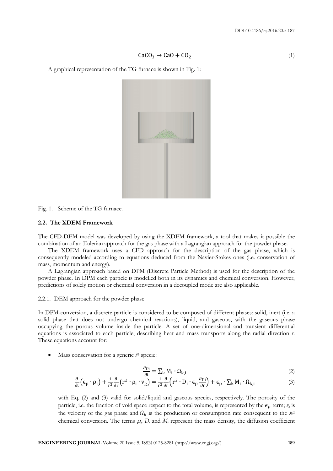$$
CaCO3 \rightarrow CaO + CO2
$$
 (1)

A graphical representation of the TG furnace is shown in Fig. 1:



Fig. 1. Scheme of the TG furnace.

#### **2.2. The XDEM Framework**

The CFD-DEM model was developed by using the XDEM framework, a tool that makes it possible the combination of an Eulerian approach for the gas phase with a Lagrangian approach for the powder phase.

The XDEM framework uses a CFD approach for the description of the gas phase, which is consequently modeled according to equations deduced from the Navier-Stokes ones (i.e. conservation of mass, momentum and energy).

A Lagrangian approach based on DPM (Discrete Particle Method) is used for the description of the powder phase. In DPM each particle is modelled both in its dynamics and chemical conversion. However, predictions of solely motion or chemical conversion in a decoupled mode are also applicable.

#### 2.2.1. DEM approach for the powder phase

In DPM-conversion, a discrete particle is considered to be composed of different phases: solid, inert (i.e. a solid phase that does not undergo chemical reactions), liquid, and gaseous, with the gaseous phase occupying the porous volume inside the particle. A set of one-dimensional and transient differential equations is associated to each particle, describing heat and mass transports along the radial direction *r*. These equations account for:

Mass conservation for a generic *i th* specie:

$$
\frac{\rho_i}{\rho_{\text{t}}} = \sum_{\mathbf{k}} \mathbf{M}_i \cdot \mathbf{\Omega}_{\mathbf{k},i} \tag{2}
$$

$$
\frac{\partial}{\partial t} \left( \epsilon_{\mathbf{p}} \cdot \rho_{\mathbf{i}} \right) + \frac{1}{r^2} \frac{\partial}{\partial r} \left( r^2 \cdot \rho_{\mathbf{i}} \cdot \mathbf{v}_{\mathbf{g}} \right) = \frac{1}{r^2} \frac{\partial}{\partial r} \left( r^2 \cdot D_{\mathbf{i}} \cdot \epsilon_{\mathbf{p}} \frac{\partial \rho_{\mathbf{i}}}{\partial r} \right) + \epsilon_{\mathbf{p}} \cdot \sum_{\mathbf{k}} M_{\mathbf{i}} \cdot \Omega_{\mathbf{k}, \mathbf{i}} \tag{3}
$$

with Eq. (2) and (3) valid for solid/liquid and gaseous species, respectively. The porosity of the particle, i.e. the fraction of void space respect to the total volume, is represented by the  $\epsilon_p$  term;  $v_g$  is the velocity of the gas phase and  $\Omega_k$  is the production or consumption rate consequent to the  $k^{th}$ chemical conversion. The terms  $\rho_i$ ,  $D_i$  and  $M_i$  represent the mass density, the diffusion coefficient

д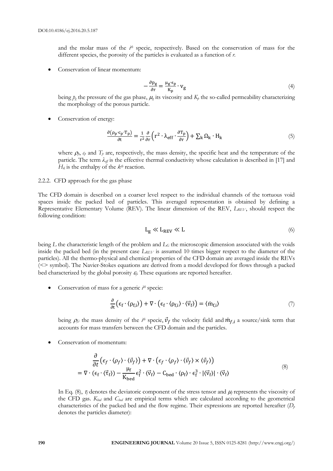and the molar mass of the  $i$ <sup>th</sup> specie, respectively. Based on the conservation of mass for the different species, the porosity of the particles is evaluated as a function of *r*.

Conservation of linear momentum:

$$
-\frac{\partial \mathbf{p}_g}{\partial \mathbf{r}} = \frac{\mu_g \cdot \mathbf{\epsilon}_p}{\mathbf{K}_p} \cdot \mathbf{v}_g \tag{4}
$$

being  $p_g$  the pressure of the gas phase,  $\mu_g$  its viscosity and  $K_p$  the so-called permeability characterizing the morphology of the porous particle.

Conservation of energy:

$$
\frac{\partial (\rho_{\mathbf{p}} \cdot \mathbf{c}_{\mathbf{p}} \cdot \mathbf{T}_{\mathbf{p}})}{\partial \mathbf{t}} = \frac{1}{r^2} \frac{\partial}{\partial r} \left( r^2 \cdot \lambda_{\mathbf{eff}} \cdot \frac{\partial \mathbf{T}_{\mathbf{p}}}{\partial r} \right) + \sum_{\mathbf{k}} \Omega_{\mathbf{k}} \cdot \mathbf{H}_{\mathbf{k}} \tag{5}
$$

where  $\rho_p$ ,  $c_p$  and  $T_p$  are, respectively, the mass density, the specific heat and the temperature of the particle. The term  $\lambda_{\text{eff}}$  is the effective thermal conductivity whose calculation is described in [17] and  $H_k$  is the enthalpy of the  $k^{th}$  reaction.

#### 2.2.2. CFD approach for the gas phase

The CFD domain is described on a coarser level respect to the individual channels of the tortuous void spaces inside the packed bed of particles. This averaged representation is obtained by defining a Representative Elementary Volume (REV). The linear dimension of the REV, *LREV*, should respect the following condition:

$$
L_g \ll L_{REV} \ll L \tag{6}
$$

being *L* the characteristic length of the problem and *L<sup>G</sup>* the microscopic dimension associated with the voids inside the packed bed (in the present case *LREV* is assumed 10 times bigger respect to the diameter of the particles). All the thermo-physical and chemical properties of the CFD domain are averaged inside the REVs (<> symbol). The Navier-Stokes equations are derived from a model developed for flows through a packed bed characterized by the global porosity  $\varepsilon$ . These equations are reported hereafter.

• Conservation of mass for a generic  $i<sup>th</sup>$  specie:

$$
\frac{\partial}{\partial t} \left( \epsilon_f \cdot \langle \rho_{f,i} \rangle \right) + \nabla \cdot \left( \epsilon_f \cdot \langle \rho_{f,i} \rangle \cdot \langle \vec{v}_f \rangle \right) = \langle \dot{m}_{f,i} \rangle \tag{7}
$$

being  $\rho_{f,i}$  the mass density of the  $i^{th}$  specie,  $\vec{v}_f$  the velocity field and  $\dot{m}_{f,i}$  a source/sink term that accounts for mass transfers between the CFD domain and the particles.

Conservation of momentum:

$$
\frac{\partial}{\partial t} \left( \epsilon_f \cdot \langle \rho_f \rangle \cdot \langle \vec{v}_f \rangle \right) + \nabla \cdot \left( \epsilon_f \cdot \langle \rho_f \rangle \cdot \langle \vec{v}_f \rangle \times \langle \vec{v}_f \rangle \right) \n= \nabla \cdot \left( \epsilon_f \cdot \langle \vec{\tau}_f \rangle \right) - \frac{\mu_f}{K_{\text{bed}}} \epsilon_f^2 \cdot \langle \vec{v}_f \rangle - C_{\text{bed}} \cdot \langle \rho_f \rangle \cdot \epsilon_f^3 \cdot |\langle \vec{v}_f \rangle| \cdot \langle \vec{v}_f \rangle
$$
\n(8)

In Eq. (8),  $\tau_f$  denotes the deviatoric component of the stress tensor and  $\mu_f$  represents the viscosity of the CFD gas. *Kbed* and *Cbed* are empirical terms which are calculated according to the geometrical characteristics of the packed bed and the flow regime. Their expressions are reported hereafter (*D<sup>p</sup>* denotes the particles diameter):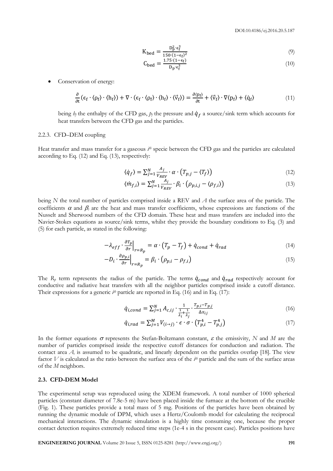$$
K_{\text{bed}} = \frac{D_{\text{p}}^2 \cdot \epsilon_{\text{f}}^3}{150 \cdot (1 - \epsilon_{\text{f}})^2} \tag{9}
$$

$$
C_{\text{bed}} = \frac{1.75 \cdot (1 - \epsilon_f)}{D_p \cdot \epsilon_f^3} \tag{10}
$$

Conservation of energy:

$$
\frac{\partial}{\partial t} (\epsilon_f \cdot \langle \rho_f \rangle \cdot \langle h_f \rangle) + \nabla \cdot (\epsilon_f \cdot \langle \rho_f \rangle \cdot \langle h_f \rangle \cdot \langle \vec{v}_f \rangle) = \frac{\partial \langle \rho_f \rangle}{\partial t} + \langle \vec{v}_f \rangle \cdot \nabla \langle \rho_f \rangle + \langle \dot{q}_f \rangle \tag{11}
$$

being  $h_f$  the enthalpy of the CFD gas,  $p_f$  the pressure and  $\dot{q}_f$  a source/sink term which accounts for heat transfers between the CFD gas and the particles.

#### 2.2.3. CFD–DEM coupling

Heat transfer and mass transfer for a gaseous  $i^{\#}$  specie between the CFD gas and the particles are calculated according to Eq. (12) and Eq. (13), respectively:

$$
\langle \dot{q}_f \rangle = \sum_{j=1}^{N} \frac{A_j}{V_{REV}} \cdot \alpha \cdot \left( T_{p,j} - \langle T_f \rangle \right) \tag{12}
$$

$$
\langle \dot{m}_{f,i} \rangle = \sum_{j=1}^{N} \frac{\dot{A}_j}{V_{REV}} \cdot \beta_i \cdot \left( \rho_{p,i,j} - \langle \rho_{f,i} \rangle \right) \tag{13}
$$

being *N* the total number of particles comprised inside a REV and *A* the surface area of the particle. The coefficients  $\alpha$  and  $\beta_i$  are the heat and mass transfer coefficients, whose expressions are functions of the Nusselt and Sherwood numbers of the CFD domain. These heat and mass transfers are included into the Navier-Stokes equations as source/sink terms, whilst they provide the boundary conditions to Eq. (3) and (5) for each particle, as stated in the following:

$$
-\lambda_{eff} \cdot \frac{\partial T_p}{\partial r}\Big|_{r=R_p} = \alpha \cdot (T_p - T_f) + \dot{q}_{cond} + \dot{q}_{rad}
$$
\n(14)

$$
-D_i \cdot \frac{\partial \rho_{p,i}}{\partial r}\Big|_{r=R_p} = \beta_i \cdot (\rho_{p,i} - \rho_{f,i})
$$
\n(15)

The  $R_p$  term represents the radius of the particle. The terms  $\dot{q}_{cond}$  and  $\dot{q}_{rad}$  respectively account for conductive and radiative heat transfers with all the neighbor particles comprised inside a cutoff distance. Their expressions for a generic  $i<sup>th</sup>$  particle are reported in Eq. (16) and in Eq. (17):

$$
\dot{q}_{i,cond} = \sum_{j=1}^{N} A_{c,ij} \cdot \frac{1}{\frac{1}{\lambda_i} + \frac{1}{\lambda_j}} \cdot \frac{T_{p,i} - T_{p,j}}{\Delta x_{ij}}
$$
(16)

$$
\dot{q}_{i,rad} = \sum_{j=1}^{M} V_{(i \to j)} \cdot \epsilon \cdot \sigma \cdot \left( T_{p,i}^{4} - T_{p,j}^{4} \right) \tag{17}
$$

In the former equations  $\sigma$  represents the Stefan-Boltzmann constant,  $\varepsilon$  the emissivity, *N* and *M* are the number of particles comprised inside the respective cutoff distances for conduction and radiation. The contact area  $A<sub>c</sub>$  is assumed to be quadratic, and linearly dependent on the particles overlap [18]. The view factor  $V$  is calculated as the ratio between the surface area of the  $i<sup>th</sup>$  particle and the sum of the surface areas of the *M* neighbors.

#### **2.3. CFD-DEM Model**

The experimental setup was reproduced using the XDEM framework. A total number of 1000 spherical particles (constant diameter of 7.8e-5 m) have been placed inside the furnace at the bottom of the crucible (Fig. 1). These particles provide a total mass of 5 mg. Positions of the particles have been obtained by running the dynamic module of DPM, which uses a Hertz/Coulomb model for calculating the reciprocal mechanical interactions. The dynamic simulation is a highly time consuming one, because the proper contact detection requires extremely reduced time steps (1e-4 s in the present case). Particles positions have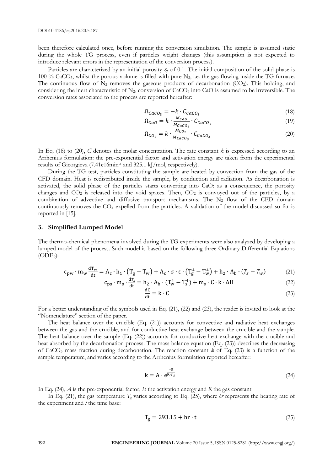been therefore calculated once, before running the conversion simulation. The sample is assumed static during the whole TG process, even if particles weight changes (this assumption is not expected to introduce relevant errors in the representation of the conversion process).

Particles are characterized by an initial porosity  $\varepsilon_p$  of 0.1. The initial composition of the solid phase is 100 % CaCO<sub>3</sub>, whilst the porous volume is filled with pure  $N_2$ , i.e. the gas flowing inside the TG furnace. The continuous flow of  $N_2$  removes the gaseous products of decarbonation (CO<sub>2</sub>). This holding, and considering the inert characteristic of  $N_2$ , conversion of CaCO<sub>3</sub> into CaO is assumed to be irreversible. The conversion rates associated to the process are reported hereafter:

$$
\Omega_{CaCO_3} = -k \cdot C_{CaCO_3} \tag{18}
$$

$$
\Omega_{CaO} = k \cdot \frac{M_{CaO}}{M_{CaCO_3}} \cdot C_{CaCO_3} \tag{19}
$$

$$
\Omega_{CO_2} = k \cdot \frac{M_{CO_2}}{M_{CaCO_3}} \cdot C_{CaCO_3} \tag{20}
$$

In Eq. (18) to (20), *C* denotes the molar concentration. The rate constant *k* is expressed according to an Arrhenius formulation: the pre-exponential factor and activation energy are taken from the experimental results of Gieorgieva (7.41e16min-1 and 325.1 kJ/mol, respectively).

During the TG test, particles constituting the sample are heated by convection from the gas of the CFD domain. Heat is redistributed inside the sample, by conduction and radiation. As decarbonation is activated, the solid phase of the particles starts converting into CaO: as a consequence, the porosity changes and  $CO_2$  is released into the void spaces. Then,  $CO_2$  is convoyed out of the particles, by a combination of advective and diffusive transport mechanisms. The  $N_2$  flow of the CFD domain continuously removes the  $CO<sub>2</sub>$  expelled from the particles. A validation of the model discussed so far is reported in [15].

#### **3. Simplified Lumped Model**

The thermo-chemical phenomena involved during the TG experiments were also analyzed by developing a lumped model of the process. Such model is based on the following three Ordinary Differential Equations (ODEs):

$$
c_{pw} \cdot m_w \frac{dT_w}{dt} = A_c \cdot h_1 \cdot (T_g - T_w) + A_c \cdot \sigma \cdot \epsilon \cdot (T_g^4 - T_w^4) + h_2 \cdot A_b \cdot (T_s - T_w) \tag{21}
$$

$$
c_{\rm ps} \cdot m_{\rm s} \cdot \frac{a r_{\rm s}}{d t} = h_2 \cdot A_{\rm b} \cdot (T_w^4 - T_s^4) + m_{\rm s} \cdot C \cdot k \cdot \Delta H \tag{22}
$$

$$
\frac{dC}{dt} = k \cdot C \tag{23}
$$

For a better understanding of the symbols used in Eq. (21), (22) and (23), the reader is invited to look at the "Nomenclature" section of the paper.

The heat balance over the crucible (Eq. (21)) accounts for convective and radiative heat exchanges between the gas and the crucible, and for conductive heat exchange between the crucible and the sample. The heat balance over the sample (Eq. (22)) accounts for conductive heat exchange with the crucible and heat absorbed by the decarbonation process. The mass balance equation (Eq. (23)) describes the decreasing of CaCO<sub>3</sub> mass fraction during decarbonation. The reaction constant  $k$  of Eq. (23) is a function of the sample temperature, and varies according to the Arrhenius formulation reported hereafter:

$$
k = A \cdot e^{\frac{-E}{RT_s}}
$$
 (24)

In Eq. (24), *A* is the pre-exponential factor, *E* the activation energy and *R* the gas constant.

In Eq. (21), the gas temperature  $T_g$  varies according to Eq. (25), where *hr* represents the heating rate of the experiment and *t* the time base:

$$
T_g = 293.15 + hr \cdot t \tag{25}
$$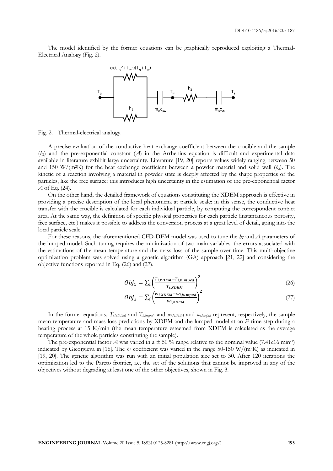The model identified by the former equations can be graphically reproduced exploiting a Thermal-Electrical Analogy (Fig. 2).



Fig. 2. Thermal-electrical analogy.

A precise evaluation of the conductive heat exchange coefficient between the crucible and the sample (*h2*) and the pre-exponential constant (*A*) in the Arrhenius equation is difficult and experimental data available in literature exhibit large uncertainty. Literature [19, 20] reports values widely ranging between 50 and 150 W/(m2K) for the heat exchange coefficient between a powder material and solid wall (*h2*). The kinetic of a reaction involving a material in powder state is deeply affected by the shape properties of the particles, like the free surface: this introduces high uncertainty in the estimation of the pre-exponential factor *A* of Eq. (24).

On the other hand, the detailed framework of equations constituting the XDEM approach is effective in providing a precise description of the local phenomena at particle scale: in this sense, the conductive heat transfer with the crucible is calculated for each individual particle, by computing the correspondent contact area. At the same way, the definition of specific physical properties for each particle (instantaneous porosity, free surface, etc.) makes it possible to address the conversion process at a great level of detail, going into the local particle scale.

For these reasons, the aforementioned CFD-DEM model was used to tune the *h<sup>2</sup>* and *A* parameters of the lumped model. Such tuning requires the minimization of two main variables: the errors associated with the estimations of the mean temperature and the mass loss of the sample over time. This multi-objective optimization problem was solved using a genetic algorithm (GA) approach [21, 22] and considering the objective functions reported in Eq. (26) and (27).

$$
Obj_1 = \sum_{i} \left( \frac{T_{i,XDEM} - T_{i,lumped}}{T_{i,XDEM}} \right)^2
$$
\n(26)

$$
Obj_2 = \sum_{i} \left( \frac{w_{i,XDEM} - w_{i, lumped}}{w_{i,XDEM}} \right)^2 \tag{27}
$$

In the former equations,  $T_{i,XDEM}$  and  $T_{i,lumped}$  and  $w_{i,XDEM}$  and  $w_{i,lumped}$  represent, respectively, the sample mean temperature and mass loss predictions by XDEM and the lumped model at an  $i^{th}$  time step during a heating process at 15 K/min (the mean temperature esteemed from XDEM is calculated as the average temperature of the whole particles constituting the sample).

The pre-exponential factor A was varied in a  $\pm$  50 % range relative to the nominal value (7.41e16 min<sup>-1</sup>) indicated by Gieorgieva in [16]. The *h<sup>2</sup>* coefficient was varied in the range 50-150 W/(m2K) as indicated in [19, 20]. The genetic algorithm was run with an initial population size set to 30. After 120 iterations the optimization led to the Pareto frontier, i.e. the set of the solutions that cannot be improved in any of the objectives without degrading at least one of the other objectives, shown in Fig. 3.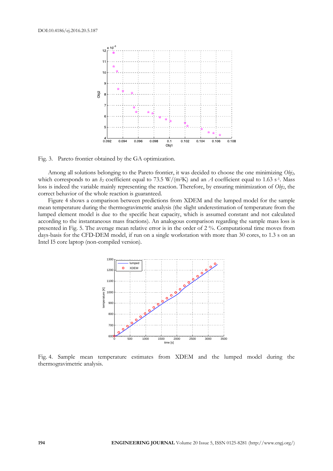

Fig. 3. Pareto frontier obtained by the GA optimization.

Among all solutions belonging to the Pareto frontier, it was decided to choose the one minimizing *Obj2,* which corresponds to an  $h_2$  coefficient equal to 73.5 W/(m<sup>2</sup>K) and an *A* coefficient equal to 1.63 s<sup>-1</sup>. Mass loss is indeed the variable mainly representing the reaction. Therefore, by ensuring minimization of *Obj2*, the correct behavior of the whole reaction is guaranteed.

Figure 4 shows a comparison between predictions from XDEM and the lumped model for the sample mean temperature during the thermogravimetric analysis (the slight underestimation of temperature from the lumped element model is due to the specific heat capacity, which is assumed constant and not calculated according to the instantaneous mass fractions). An analogous comparison regarding the sample mass loss is presented in Fig. 5. The average mean relative error is in the order of 2 %. Computational time moves from days-basis for the CFD-DEM model, if run on a single workstation with more than 30 cores, to 1.3 s on an Intel I5 core laptop (non-compiled version).



Fig. 4. Sample mean temperature estimates from XDEM and the lumped model during the thermogravimetric analysis.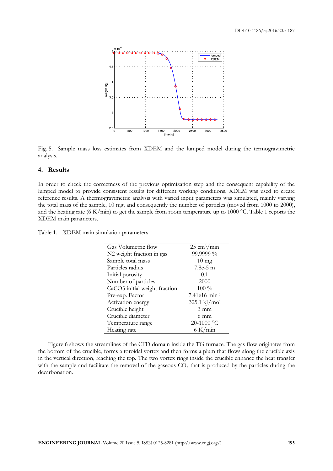

Fig. 5. Sample mass loss estimates from XDEM and the lumped model during the termogravimetric analysis.

### **4. Results**

In order to check the correctness of the previous optimization step and the consequent capability of the lumped model to provide consistent results for different working conditions, XDEM was used to create reference results. A thermogravimetric analysis with varied input parameters was simulated, mainly varying the total mass of the sample, 10 mg, and consequently the number of particles (moved from 1000 to 2000), and the heating rate (6 K/min) to get the sample from room temperature up to 1000 °C. Table 1 reports the XDEM main parameters.

Table 1. XDEM main simulation parameters.

| Gas Volumetric flow           | $25 \text{ cm}^3/\text{min}$ |
|-------------------------------|------------------------------|
| N2 weight fraction in gas     | 99.9999 %                    |
| Sample total mass             | $10 \text{ mg}$              |
| Particles radius              | $7.8e-5$ m                   |
| Initial porosity              | 0.1                          |
| Number of particles           | 2000                         |
| CaCO3 initial weight fraction | $100\%$                      |
| Pre-exp. Factor               | $7.41e16$ min-1              |
| Activation energy             | $325.1$ kJ/mol               |
| Crucible height               | $3 \text{ mm}$               |
| Crucible diameter             | 6 mm                         |
| Temperature range             | 20-1000 °C                   |
| Heating rate                  | 6 K/min                      |

Figure 6 shows the streamlines of the CFD domain inside the TG furnace. The gas flow originates from the bottom of the crucible, forms a toroidal vortex and then forms a plum that flows along the crucible axis in the vertical direction, reaching the top. The two vortex rings inside the crucible enhance the heat transfer with the sample and facilitate the removal of the gaseous  $CO<sub>2</sub>$  that is produced by the particles during the decarbonation.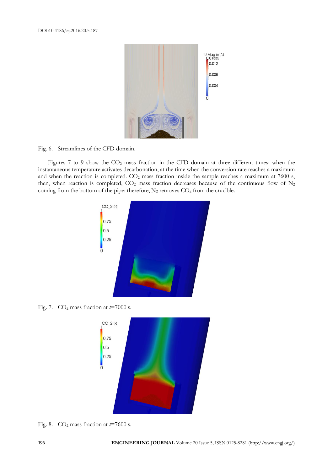

Fig. 6. Streamlines of the CFD domain.

Figures 7 to 9 show the  $CO<sub>2</sub>$  mass fraction in the CFD domain at three different times: when the instantaneous temperature activates decarbonation, at the time when the conversion rate reaches a maximum and when the reaction is completed.  $CO<sub>2</sub>$  mass fraction inside the sample reaches a maximum at 7600 s, then, when reaction is completed,  $CO_2$  mass fraction decreases because of the continuous flow of  $N_2$ coming from the bottom of the pipe: therefore,  $N_2$  removes  $CO_2$  from the crucible.



Fig. 7.  $CO<sub>2</sub>$  mass fraction at  $t=7000$  s.



Fig. 8. CO<sup>2</sup> mass fraction at *t*=7600 s.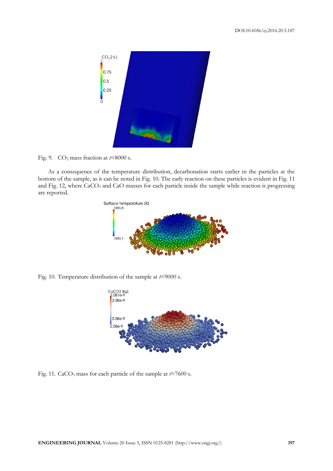

Fig. 9. CO<sup>2</sup> mass fraction at *t*=8000 s.

As a consequence of the temperature distribution, decarbonation starts earlier in the particles at the bottom of the sample, as it can be noted in Fig. 10. The early reaction on these particles is evident in Fig. 11 and Fig. 12, where CaCO<sub>3</sub> and CaO masses for each particle inside the sample while reaction is progressing are reported.



Fig. 10. Temperature distribution of the sample at *t*=9000 s.



Fig. 11. CaCO<sup>3</sup> mass for each particle of the sample at *t*=7600 s.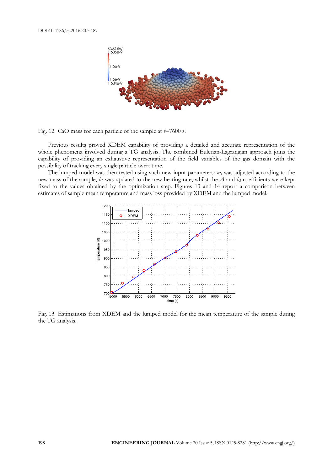

Fig. 12. CaO mass for each particle of the sample at *t*=7600 s.

Previous results proved XDEM capability of providing a detailed and accurate representation of the whole phenomena involved during a TG analysis. The combined Eulerian-Lagrangian approach joins the capability of providing an exhaustive representation of the field variables of the gas domain with the possibility of tracking every single particle overt time.

The lumped model was then tested using such new input parameters: *m<sup>s</sup>* was adjusted according to the new mass of the sample, *hr* was updated to the new heating rate, whilst the *A* and *h<sup>2</sup>* coefficients were kept fixed to the values obtained by the optimization step. Figures 13 and 14 report a comparison between estimates of sample mean temperature and mass loss provided by XDEM and the lumped model.



Fig. 13. Estimations from XDEM and the lumped model for the mean temperature of the sample during the TG analysis.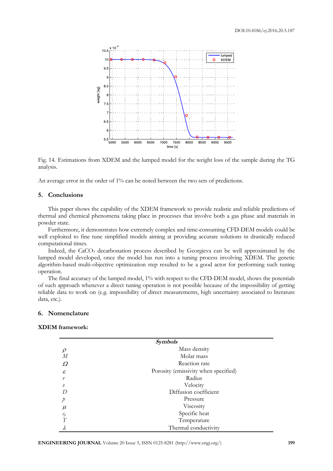

Fig. 14. Estimations from XDEM and the lumped model for the weight loss of the sample during the TG analysis.

An average error in the order of 1% can be noted between the two sets of predictions.

# **5. Conclusions**

This paper shows the capability of the XDEM framework to provide realistic and reliable predictions of thermal and chemical phenomena taking place in processes that involve both a gas phase and materials in powder state.

Furthermore, it demonstrates how extremely complex and time-consuming CFD-DEM models could be well exploited to fine tune simplified models aiming at providing accurate solutions in drastically reduced computational times.

Indeed, the CaCO<sup>3</sup> decarbonation process described by Georgieva can be well approximated by the lumped model developed, once the model has run into a tuning process involving XDEM. The genetic algorithm-based multi-objective optimization step resulted to be a good actor for performing such tuning operation.

The final accuracy of the lumped model, 1% with respect to the CFD-DEM model, shows the potentials of such approach whenever a direct tuning operation is not possible because of the impossibility of getting reliable data to work on (e.g. impossibility of direct measurements, high uncertainty associated to literature data, etc.).

#### **6. Nomenclature**

# **XDEM framework:**

| <b>Symbols</b> |                                      |  |
|----------------|--------------------------------------|--|
| $\rho$         | Mass density                         |  |
| М              | Molar mass                           |  |
| Ω              | Reaction rate                        |  |
| $\mathcal E$   | Porosity (emissivity when specified) |  |
| r              | Radius                               |  |
| $\mathcal{V}$  | Velocity                             |  |
| D              | Diffusion coefficient                |  |
| Þ              | Pressure                             |  |
| $\mu$          | Viscosity                            |  |
| $c_p$          | Specific heat                        |  |
| T              | Temperature                          |  |
| $\lambda$      | Thermal conductivity                 |  |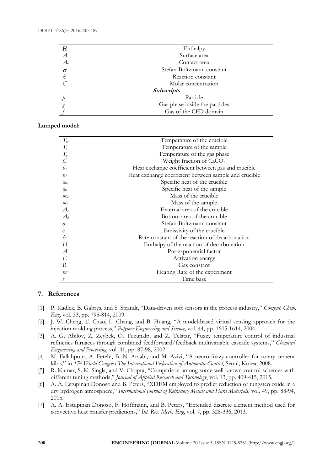DOI:10.4186/ej.2016.20.5.187

| Η                 | Enthalpy                       |  |
|-------------------|--------------------------------|--|
| A                 | Surface area                   |  |
| A <sub>c</sub>    | Contact area                   |  |
| $\sigma$          | Stefan-Boltzmann constant      |  |
| k                 | Reaction constant              |  |
|                   | Molar concentration            |  |
| <b>Subscripts</b> |                                |  |
|                   | Particle                       |  |
|                   | Gas phase inside the particles |  |
|                   | Gas of the CFD domain          |  |
|                   |                                |  |

**Lumped model:**

| $T_{w}$                  | Temperature of the crucible                           |
|--------------------------|-------------------------------------------------------|
| $T_{s}$                  | Temperature of the sample                             |
|                          | Temperature of the gas phase                          |
| $T_g$                    | Weight fraction of CaCO <sub>3</sub>                  |
| $h_1$                    | Heat exchange coefficient between gas and crucible    |
| h <sub>2</sub>           | Heat exchange coefficient between sample and crucible |
| $c_{\text{p}w}$          | Specific heat of the crucible                         |
| $\mathcal{C}_{ps}$       | Specific heat of the sample                           |
| $m_{w}$                  | Mass of the crucible                                  |
| m <sub>s</sub>           | Mass of the sample                                    |
| $\mathcal{A}_{\epsilon}$ | External area of the crucible                         |
| $A_b$                    | Bottom area of the crucible                           |
| $\sigma$                 | Stefan-Boltzmann constant                             |
| ε                        | Emissivity of the crucible                            |
| k.                       | Rate constant of the reaction of decarbonation        |
| Н                        | Enthalpy of the reaction of decarbonation             |
| $\mathcal{A}$            | Pre-exponential factor                                |
| E                        | Activation energy                                     |
| R                        | Gas constant                                          |
| br                       | Heating Rate of the experiment                        |
|                          | Time base                                             |

# **7. References**

- [1] P. Kadlex, B. Gabrys, and S. Strandt, "Data-driven soft sensors in the process industry," *Comput. Chem. Eng*, vol. 33, pp. 795-814, 2009.
- [2] J. W. Cheng, T. Chao, L. Chang, and B. Huang, "A model-based virtual sensing approach for the injection molding process," *Polymer Engineering and Science*, vol. 44, pp. 1605-1614, 2004.
- [3] A. G. Abilov, Z. Zeybek, O. Tuzunalp, and Z. Telatar, "Fuzzy temperature control of industrial refineries furnaces through combined feedforward/feedback multivariable cascade systems," *Chemical Engineering and Processing*, vol. 41, pp. 87-98, 2002.
- [4] M. Fallahpour, A. Fetehi, B. N. Araabi, and M. Azizi, "A neuro-fuzzy controller for rotary cement kilns," in *17th World Congress The International Federation of Automatic Control*, Seoul, Korea, 2008.
- [5] R. Kumar, S. K. Singla, and V. Chopra, "Comparison among some well known control schemes with different tuning methods," *Journal of Applied Research and Technology*, vol. 13, pp. 409-415, 2015.
- [6] A. A. Estupinan Donoso and B. Peters, "XDEM employed to predict reduction of tungsten oxide in a dry hydrogen atmosphere," *International Journal of Refractory Metals and Hard Materials*, vol. 49, pp. 88-94, 2015.
- [7] A. A. Estupinan Donoso, F. Hoffmann, and B. Peters, "Extended discrete element method used for convective heat transfer predictions," *Int. Rev. Mech. Eng*, vol. 7, pp. 328-336, 2013.